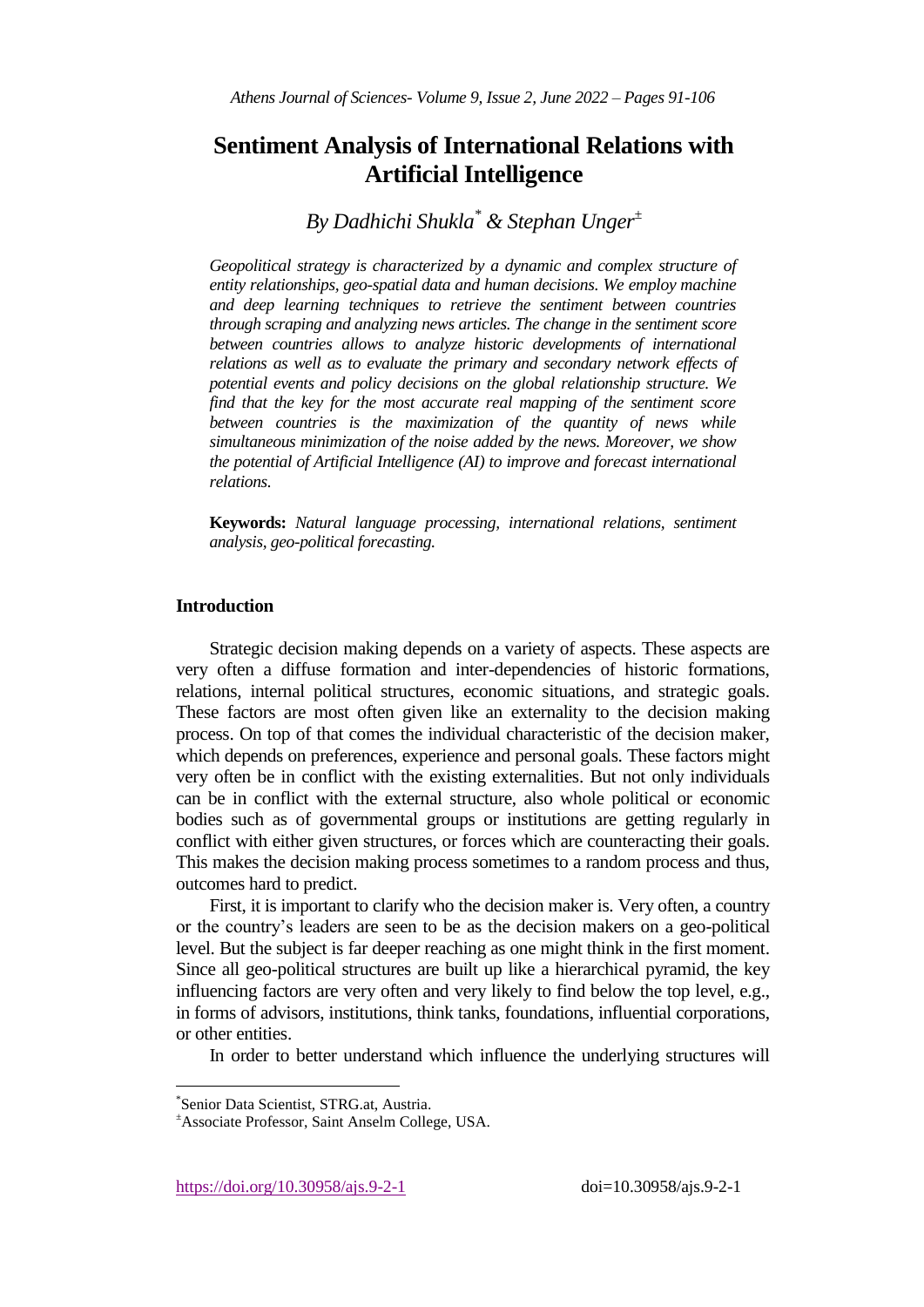# **Sentiment Analysis of International Relations with Artificial Intelligence**

*By Dadhichi Shukla\* & Stephan Unger<sup>±</sup>*

*Geopolitical strategy is characterized by a dynamic and complex structure of entity relationships, geo-spatial data and human decisions. We employ machine and deep learning techniques to retrieve the sentiment between countries through scraping and analyzing news articles. The change in the sentiment score between countries allows to analyze historic developments of international relations as well as to evaluate the primary and secondary network effects of potential events and policy decisions on the global relationship structure. We find that the key for the most accurate real mapping of the sentiment score between countries is the maximization of the quantity of news while simultaneous minimization of the noise added by the news. Moreover, we show the potential of Artificial Intelligence (AI) to improve and forecast international relations.*

**Keywords:** *Natural language processing, international relations, sentiment analysis, geo-political forecasting.*

# **Introduction**

Strategic decision making depends on a variety of aspects. These aspects are very often a diffuse formation and inter-dependencies of historic formations, relations, internal political structures, economic situations, and strategic goals. These factors are most often given like an externality to the decision making process. On top of that comes the individual characteristic of the decision maker, which depends on preferences, experience and personal goals. These factors might very often be in conflict with the existing externalities. But not only individuals can be in conflict with the external structure, also whole political or economic bodies such as of governmental groups or institutions are getting regularly in conflict with either given structures, or forces which are counteracting their goals. This makes the decision making process sometimes to a random process and thus, outcomes hard to predict.

First, it is important to clarify who the decision maker is. Very often, a country or the country's leaders are seen to be as the decision makers on a geo-political level. But the subject is far deeper reaching as one might think in the first moment. Since all geo-political structures are built up like a hierarchical pyramid, the key influencing factors are very often and very likely to find below the top level, e.g., in forms of advisors, institutions, think tanks, foundations, influential corporations, or other entities.

In order to better understand which influence the underlying structures will

j

https://doi.org/10.30958/ajs.9-2-1 doi=10.30958/ajs.9-2-1

<sup>\*</sup> Senior Data Scientist, STRG.at, Austria.

<sup>±</sup>Associate Professor, Saint Anselm College, USA.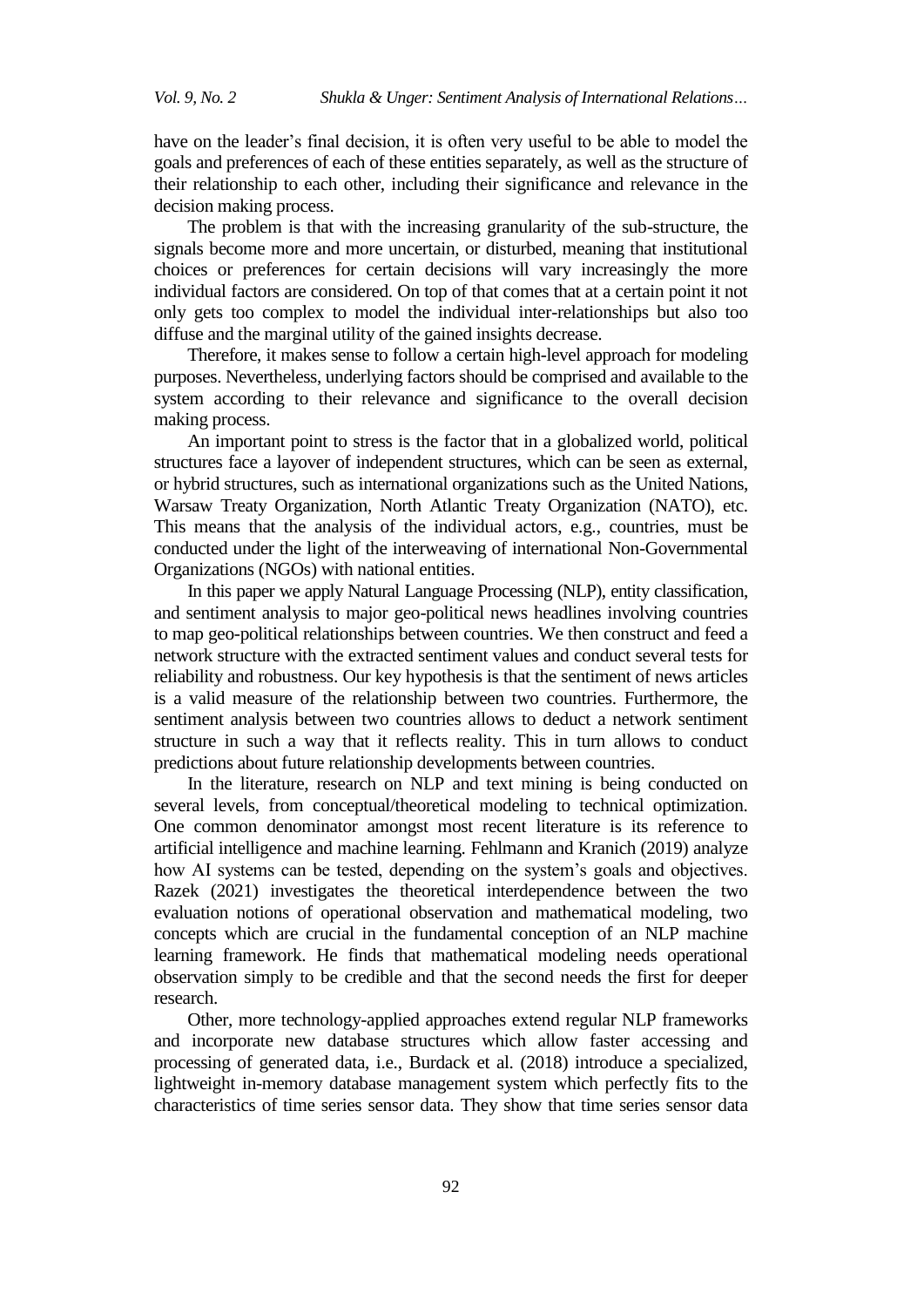have on the leader's final decision, it is often very useful to be able to model the goals and preferences of each of these entities separately, as well as the structure of their relationship to each other, including their significance and relevance in the decision making process.

The problem is that with the increasing granularity of the sub-structure, the signals become more and more uncertain, or disturbed, meaning that institutional choices or preferences for certain decisions will vary increasingly the more individual factors are considered. On top of that comes that at a certain point it not only gets too complex to model the individual inter-relationships but also too diffuse and the marginal utility of the gained insights decrease.

Therefore, it makes sense to follow a certain high-level approach for modeling purposes. Nevertheless, underlying factors should be comprised and available to the system according to their relevance and significance to the overall decision making process.

An important point to stress is the factor that in a globalized world, political structures face a layover of independent structures, which can be seen as external, or hybrid structures, such as international organizations such as the United Nations, Warsaw Treaty Organization, North Atlantic Treaty Organization (NATO), etc. This means that the analysis of the individual actors, e.g., countries, must be conducted under the light of the interweaving of international Non-Governmental Organizations (NGOs) with national entities.

In this paper we apply Natural Language Processing (NLP), entity classification, and sentiment analysis to major geo-political news headlines involving countries to map geo-political relationships between countries. We then construct and feed a network structure with the extracted sentiment values and conduct several tests for reliability and robustness. Our key hypothesis is that the sentiment of news articles is a valid measure of the relationship between two countries. Furthermore, the sentiment analysis between two countries allows to deduct a network sentiment structure in such a way that it reflects reality. This in turn allows to conduct predictions about future relationship developments between countries.

In the literature, research on NLP and text mining is being conducted on several levels, from conceptual/theoretical modeling to technical optimization. One common denominator amongst most recent literature is its reference to artificial intelligence and machine learning. Fehlmann and Kranich (2019) analyze how AI systems can be tested, depending on the system's goals and objectives. Razek (2021) investigates the theoretical interdependence between the two evaluation notions of operational observation and mathematical modeling, two concepts which are crucial in the fundamental conception of an NLP machine learning framework. He finds that mathematical modeling needs operational observation simply to be credible and that the second needs the first for deeper research.

Other, more technology-applied approaches extend regular NLP frameworks and incorporate new database structures which allow faster accessing and processing of generated data, i.e., Burdack et al. (2018) introduce a specialized, lightweight in-memory database management system which perfectly fits to the characteristics of time series sensor data. They show that time series sensor data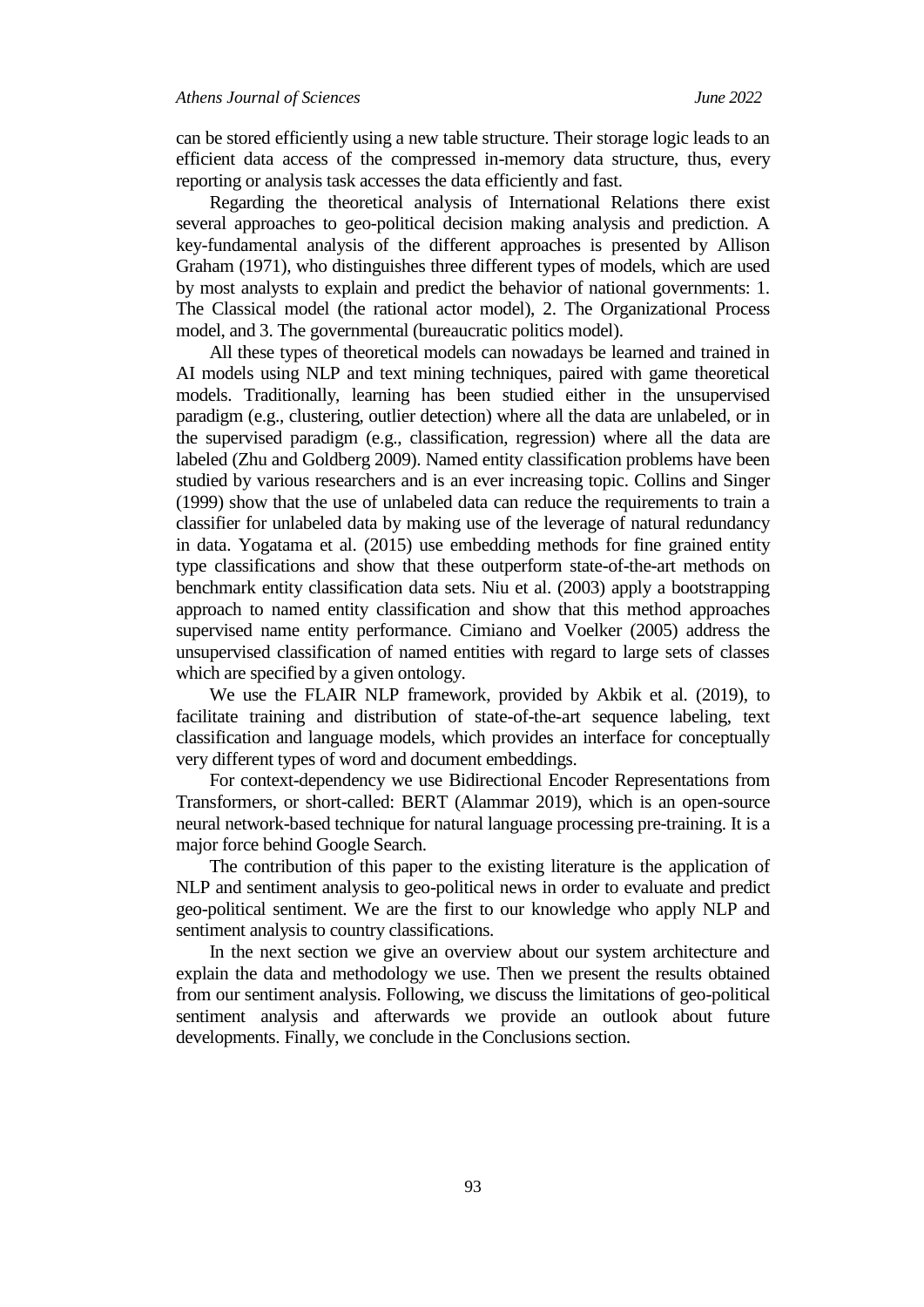can be stored efficiently using a new table structure. Their storage logic leads to an efficient data access of the compressed in-memory data structure, thus, every reporting or analysis task accesses the data efficiently and fast.

Regarding the theoretical analysis of International Relations there exist several approaches to geo-political decision making analysis and prediction. A key-fundamental analysis of the different approaches is presented by Allison Graham (1971), who distinguishes three different types of models, which are used by most analysts to explain and predict the behavior of national governments: 1. The Classical model (the rational actor model), 2. The Organizational Process model, and 3. The governmental (bureaucratic politics model).

All these types of theoretical models can nowadays be learned and trained in AI models using NLP and text mining techniques, paired with game theoretical models. Traditionally, learning has been studied either in the unsupervised paradigm (e.g., clustering, outlier detection) where all the data are unlabeled, or in the supervised paradigm (e.g., classification, regression) where all the data are labeled (Zhu and Goldberg 2009). Named entity classification problems have been studied by various researchers and is an ever increasing topic. Collins and Singer (1999) show that the use of unlabeled data can reduce the requirements to train a classifier for unlabeled data by making use of the leverage of natural redundancy in data. Yogatama et al. (2015) use embedding methods for fine grained entity type classifications and show that these outperform state-of-the-art methods on benchmark entity classification data sets. Niu et al. (2003) apply a bootstrapping approach to named entity classification and show that this method approaches supervised name entity performance. Cimiano and Voelker (2005) address the unsupervised classification of named entities with regard to large sets of classes which are specified by a given ontology.

We use the FLAIR NLP framework, provided by Akbik et al. (2019), to facilitate training and distribution of state-of-the-art sequence labeling, text classification and language models, which provides an interface for conceptually very different types of word and document embeddings.

For context-dependency we use Bidirectional Encoder Representations from Transformers, or short-called: BERT (Alammar 2019), which is an open-source neural network-based technique for natural language processing pre-training. It is a major force behind Google Search.

The contribution of this paper to the existing literature is the application of NLP and sentiment analysis to geo-political news in order to evaluate and predict geo-political sentiment. We are the first to our knowledge who apply NLP and sentiment analysis to country classifications.

In the next section we give an overview about our system architecture and explain the data and methodology we use. Then we present the results obtained from our sentiment analysis. Following, we discuss the limitations of geo-political sentiment analysis and afterwards we provide an outlook about future developments. Finally, we conclude in the Conclusions section.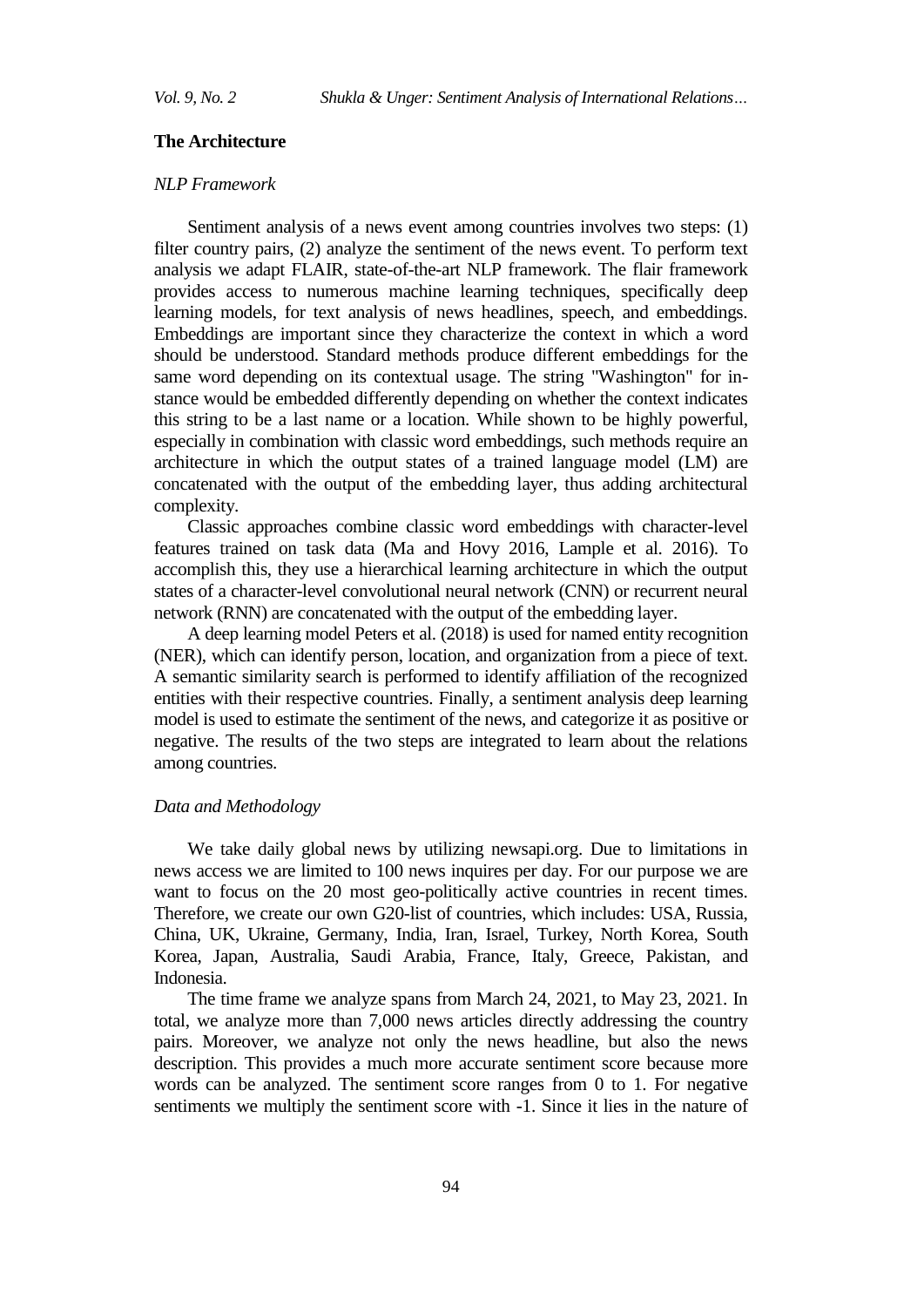# **The Architecture**

## *NLP Framework*

Sentiment analysis of a news event among countries involves two steps: (1) filter country pairs, (2) analyze the sentiment of the news event. To perform text analysis we adapt FLAIR, state-of-the-art NLP framework. The flair framework provides access to numerous machine learning techniques, specifically deep learning models, for text analysis of news headlines, speech, and embeddings. Embeddings are important since they characterize the context in which a word should be understood. Standard methods produce different embeddings for the same word depending on its contextual usage. The string "Washington" for instance would be embedded differently depending on whether the context indicates this string to be a last name or a location. While shown to be highly powerful, especially in combination with classic word embeddings, such methods require an architecture in which the output states of a trained language model (LM) are concatenated with the output of the embedding layer, thus adding architectural complexity.

Classic approaches combine classic word embeddings with character-level features trained on task data (Ma and Hovy 2016, Lample et al. 2016). To accomplish this, they use a hierarchical learning architecture in which the output states of a character-level convolutional neural network (CNN) or recurrent neural network (RNN) are concatenated with the output of the embedding layer.

A deep learning model Peters et al. (2018) is used for named entity recognition (NER), which can identify person, location, and organization from a piece of text. A semantic similarity search is performed to identify affiliation of the recognized entities with their respective countries. Finally, a sentiment analysis deep learning model is used to estimate the sentiment of the news, and categorize it as positive or negative. The results of the two steps are integrated to learn about the relations among countries.

# *Data and Methodology*

We take daily global news by utilizing newsapi.org. Due to limitations in news access we are limited to 100 news inquires per day. For our purpose we are want to focus on the 20 most geo-politically active countries in recent times. Therefore, we create our own G20-list of countries, which includes: USA, Russia, China, UK, Ukraine, Germany, India, Iran, Israel, Turkey, North Korea, South Korea, Japan, Australia, Saudi Arabia, France, Italy, Greece, Pakistan, and Indonesia.

The time frame we analyze spans from March 24, 2021, to May 23, 2021. In total, we analyze more than 7,000 news articles directly addressing the country pairs. Moreover, we analyze not only the news headline, but also the news description. This provides a much more accurate sentiment score because more words can be analyzed. The sentiment score ranges from 0 to 1. For negative sentiments we multiply the sentiment score with -1. Since it lies in the nature of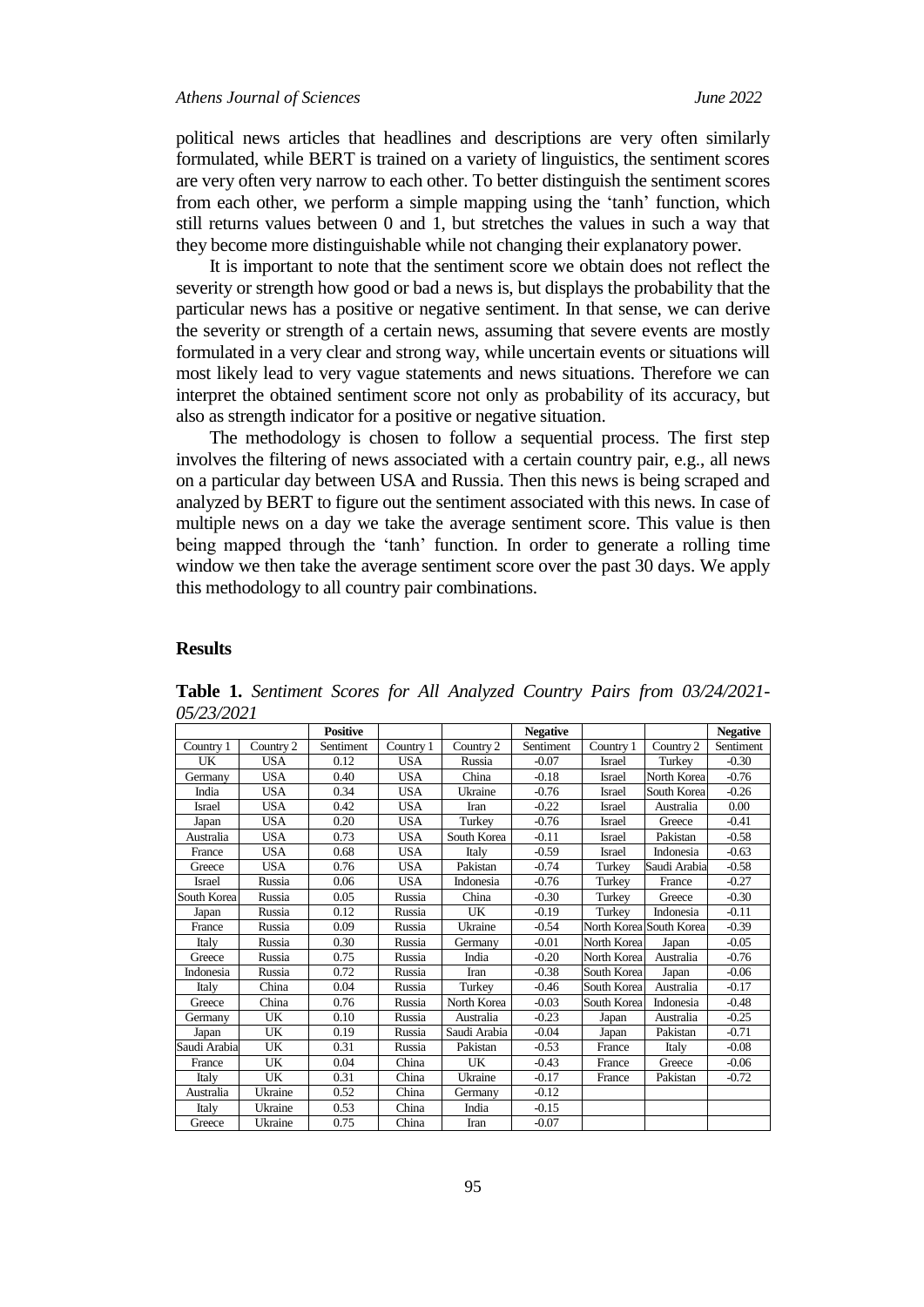political news articles that headlines and descriptions are very often similarly formulated, while BERT is trained on a variety of linguistics, the sentiment scores are very often very narrow to each other. To better distinguish the sentiment scores from each other, we perform a simple mapping using the 'tanh' function, which still returns values between 0 and 1, but stretches the values in such a way that they become more distinguishable while not changing their explanatory power.

It is important to note that the sentiment score we obtain does not reflect the severity or strength how good or bad a news is, but displays the probability that the particular news has a positive or negative sentiment. In that sense, we can derive the severity or strength of a certain news, assuming that severe events are mostly formulated in a very clear and strong way, while uncertain events or situations will most likely lead to very vague statements and news situations. Therefore we can interpret the obtained sentiment score not only as probability of its accuracy, but also as strength indicator for a positive or negative situation.

The methodology is chosen to follow a sequential process. The first step involves the filtering of news associated with a certain country pair, e.g., all news on a particular day between USA and Russia. Then this news is being scraped and analyzed by BERT to figure out the sentiment associated with this news. In case of multiple news on a day we take the average sentiment score. This value is then being mapped through the 'tanh' function. In order to generate a rolling time window we then take the average sentiment score over the past 30 days. We apply this methodology to all country pair combinations.

### **Results**

|               |            | <b>Positive</b> |            |              | <b>Negative</b> |               |                         | <b>Negative</b> |
|---------------|------------|-----------------|------------|--------------|-----------------|---------------|-------------------------|-----------------|
| Country 1     | Country 2  | Sentiment       | Country 1  | Country 2    | Sentiment       | Country 1     | Country 2               | Sentiment       |
| UK            | <b>USA</b> | 0.12            | <b>USA</b> | Russia       | $-0.07$         | Israel        | Turkey                  | $-0.30$         |
| Germanv       | <b>USA</b> | 0.40            | <b>USA</b> | China        | $-0.18$         | <b>Israel</b> | North Korea             | $-0.76$         |
| India         | <b>USA</b> | 0.34            | <b>USA</b> | Ukraine      | $-0.76$         | Israel        | South Korea             | $-0.26$         |
| <b>Israel</b> | <b>USA</b> | 0.42            | <b>USA</b> | Iran         | $-0.22$         | <b>Israel</b> | Australia               | 0.00            |
| Japan         | <b>USA</b> | 0.20            | <b>USA</b> | Turkey       | $-0.76$         | Israel        | Greece                  | $-0.41$         |
| Australia     | <b>USA</b> | 0.73            | <b>USA</b> | South Korea  | $-0.11$         | <b>Israel</b> | Pakistan                | $-0.58$         |
| France        | <b>USA</b> | 0.68            | <b>USA</b> | Italy        | $-0.59$         | Israel        | Indonesia               | $-0.63$         |
| Greece        | <b>USA</b> | 0.76            | <b>USA</b> | Pakistan     | $-0.74$         | Turkey        | Saudi Arabia            | $-0.58$         |
| <b>Israel</b> | Russia     | 0.06            | <b>USA</b> | Indonesia    | $-0.76$         | Turkey        | France                  | $-0.27$         |
| South Korea   | Russia     | 0.05            | Russia     | China        | $-0.30$         | Turkey        | Greece                  | $-0.30$         |
| Japan         | Russia     | 0.12            | Russia     | UK           | $-0.19$         | Turkey        | Indonesia               | $-0.11$         |
| France        | Russia     | 0.09            | Russia     | Ukraine      | $-0.54$         |               | North Korea South Korea | $-0.39$         |
| Italy         | Russia     | 0.30            | Russia     | Germany      | $-0.01$         | North Korea   | Japan                   | $-0.05$         |
| Greece        | Russia     | 0.75            | Russia     | India        | $-0.20$         | North Korea   | Australia               | $-0.76$         |
| Indonesia     | Russia     | 0.72            | Russia     | Iran         | $-0.38$         | South Korea   | Japan                   | $-0.06$         |
| Italy         | China      | 0.04            | Russia     | Turkey       | $-0.46$         | South Korea   | Australia               | $-0.17$         |
| Greece        | China      | 0.76            | Russia     | North Korea  | $-0.03$         | South Korea   | Indonesia               | $-0.48$         |
| Germany       | UK         | 0.10            | Russia     | Australia    | $-0.23$         | Japan         | Australia               | $-0.25$         |
| Japan         | UK         | 0.19            | Russia     | Saudi Arabia | $-0.04$         | Japan         | Pakistan                | $-0.71$         |
| Saudi Arabia  | UK         | 0.31            | Russia     | Pakistan     | $-0.53$         | France        | Italy                   | $-0.08$         |
| France        | UK         | 0.04            | China      | UK           | $-0.43$         | France        | Greece                  | $-0.06$         |
| Italy         | UK         | 0.31            | China      | Ukraine      | $-0.17$         | France        | Pakistan                | $-0.72$         |
| Australia     | Ukraine    | 0.52            | China      | Germany      | $-0.12$         |               |                         |                 |
| Italy         | Ukraine    | 0.53            | China      | India        | $-0.15$         |               |                         |                 |
| Greece        | Ukraine    | 0.75            | China      | Iran         | $-0.07$         |               |                         |                 |

**Table 1.** *Sentiment Scores for All Analyzed Country Pairs from 03/24/2021- 05/23/2021*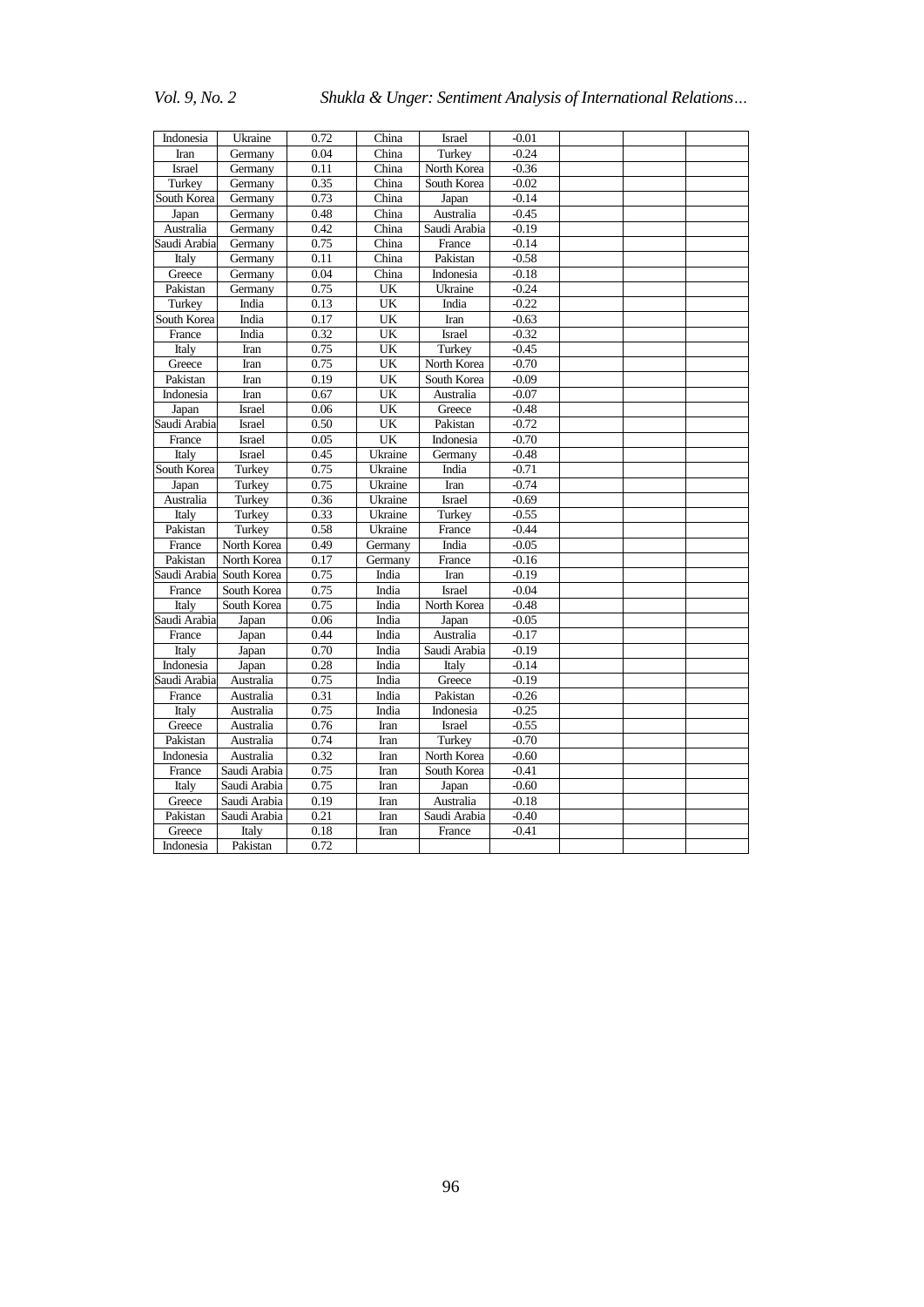# *Vol. 9, No. 2 Shukla & Unger: Sentiment Analysis of International Relations…*

| Indonesia     | Ukraine       | 0.72 | China   | Israel        | $-0.01$ |  |  |
|---------------|---------------|------|---------|---------------|---------|--|--|
| Iran          | Germany       | 0.04 | China   | Turkey        | $-0.24$ |  |  |
| <b>Israel</b> | Germany       | 0.11 | China   | North Korea   | $-0.36$ |  |  |
| Turkey        | Germany       | 0.35 | China   | South Korea   | $-0.02$ |  |  |
| South Korea   | Germany       | 0.73 | China   | Japan         | $-0.14$ |  |  |
| Japan         | Germany       | 0.48 | China   | Australia     | $-0.45$ |  |  |
| Australia     | Germany       | 0.42 | China   | Saudi Arabia  | $-0.19$ |  |  |
| Saudi Arabia  | Germany       | 0.75 | China   | France        | $-0.14$ |  |  |
| Italy         | Germany       | 0.11 | China   | Pakistan      | $-0.58$ |  |  |
| Greece        | Germany       | 0.04 | China   | Indonesia     | $-0.18$ |  |  |
| Pakistan      | Germany       | 0.75 | UK      | Ukraine       | $-0.24$ |  |  |
| Turkey        | India         | 0.13 | UK      | India         | $-0.22$ |  |  |
| South Korea   | India         | 0.17 | UK      | Iran          | $-0.63$ |  |  |
| France        | India         | 0.32 | UK      | <b>Israel</b> | $-0.32$ |  |  |
| Italy         | Iran          | 0.75 | UK      | Turkey        | $-0.45$ |  |  |
| Greece        | Iran          | 0.75 | UK      | North Korea   | $-0.70$ |  |  |
| Pakistan      | Iran          | 0.19 | UK      | South Korea   | $-0.09$ |  |  |
| Indonesia     | Iran          | 0.67 | UK      | Australia     | $-0.07$ |  |  |
| Japan         | Israel        | 0.06 | UK      | Greece        | $-0.48$ |  |  |
| Saudi Arabia  | Israel        | 0.50 | UK      | Pakistan      | $-0.72$ |  |  |
| France        | Israel        | 0.05 | UK      | Indonesia     | $-0.70$ |  |  |
| Italy         | <b>Israel</b> | 0.45 | Ukraine | Germany       | $-0.48$ |  |  |
| South Korea   | Turkey        | 0.75 | Ukraine | India         | $-0.71$ |  |  |
| Japan         | Turkey        | 0.75 | Ukraine | Iran          | $-0.74$ |  |  |
| Australia     | Turkey        | 0.36 | Ukraine | <b>Israel</b> | $-0.69$ |  |  |
| Italy         | Turkey        | 0.33 | Ukraine | Turkey        | $-0.55$ |  |  |
| Pakistan      | Turkey        | 0.58 | Ukraine | France        | $-0.44$ |  |  |
| France        | North Korea   | 0.49 | Germany | India         | $-0.05$ |  |  |
| Pakistan      | North Korea   | 0.17 | Germany | France        | $-0.16$ |  |  |
| Saudi Arabia  | South Korea   | 0.75 | India   | <b>Iran</b>   | $-0.19$ |  |  |
| France        | South Korea   | 0.75 | India   | <b>Israel</b> | $-0.04$ |  |  |
| Italy         | South Korea   | 0.75 | India   | North Korea   | $-0.48$ |  |  |
| Saudi Arabia  | Japan         | 0.06 | India   | Japan         | $-0.05$ |  |  |
| France        | Japan         | 0.44 | India   | Australia     | $-0.17$ |  |  |
| Italy         | Japan         | 0.70 | India   | Saudi Arabia  | $-0.19$ |  |  |
| Indonesia     | Japan         | 0.28 | India   | Italy         | $-0.14$ |  |  |
| Saudi Arabia  | Australia     | 0.75 | India   | Greece        | $-0.19$ |  |  |
| France        | Australia     | 0.31 | India   | Pakistan      | $-0.26$ |  |  |
| Italy         | Australia     | 0.75 | India   | Indonesia     | $-0.25$ |  |  |
| Greece        | Australia     | 0.76 | Iran    | <b>Israel</b> | $-0.55$ |  |  |
| Pakistan      | Australia     | 0.74 | Iran    | Turkey        | $-0.70$ |  |  |
| Indonesia     | Australia     | 0.32 | Iran    | North Korea   | $-0.60$ |  |  |
| France        | Saudi Arabia  | 0.75 | Iran    | South Korea   | $-0.41$ |  |  |
| Italy         | Saudi Arabia  | 0.75 | Iran    | Japan         | $-0.60$ |  |  |
| Greece        | Saudi Arabia  | 0.19 | Iran    | Australia     | $-0.18$ |  |  |
| Pakistan      | Saudi Arabia  | 0.21 | Iran    | Saudi Arabia  | $-0.40$ |  |  |
| Greece        | Italy         | 0.18 | Iran    | France        | $-0.41$ |  |  |
| Indonesia     | Pakistan      | 0.72 |         |               |         |  |  |
|               |               |      |         |               |         |  |  |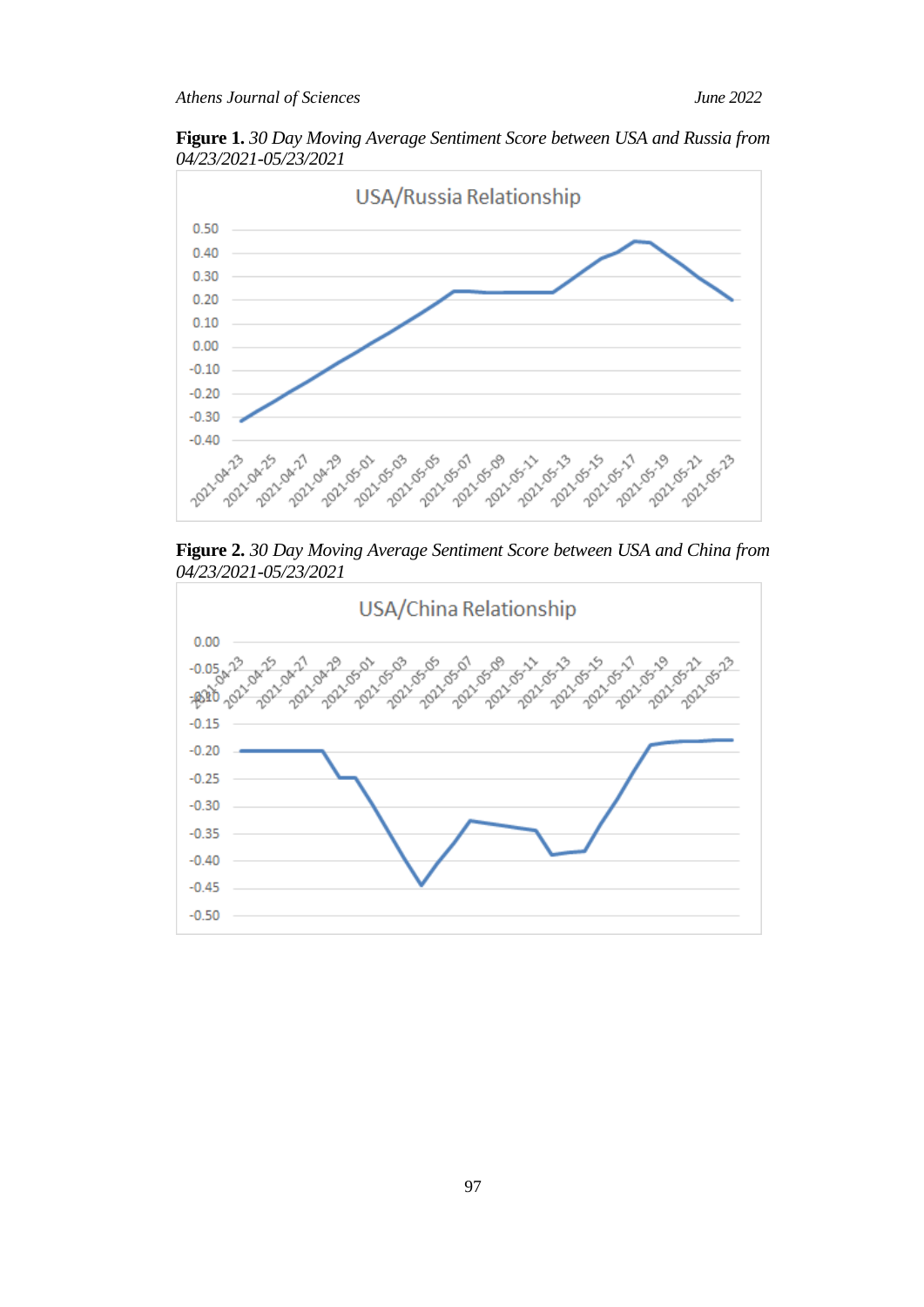**Figure 1.** *30 Day Moving Average Sentiment Score between USA and Russia from 04/23/2021-05/23/2021*



**Figure 2.** *30 Day Moving Average Sentiment Score between USA and China from 04/23/2021-05/23/2021*

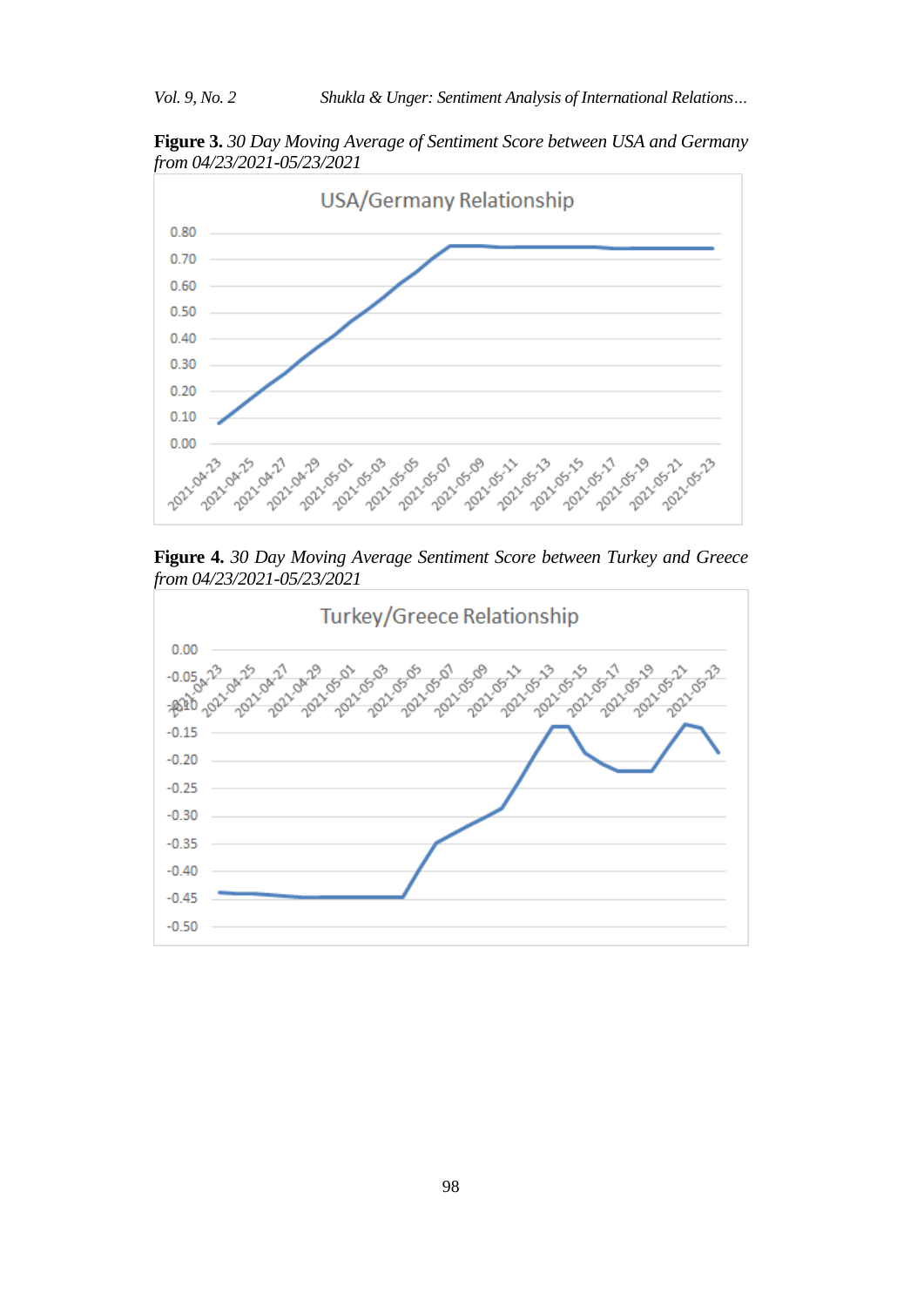**Figure 3.** *30 Day Moving Average of Sentiment Score between USA and Germany from 04/23/2021-05/23/2021*



**Figure 4.** *30 Day Moving Average Sentiment Score between Turkey and Greece from 04/23/2021-05/23/2021*

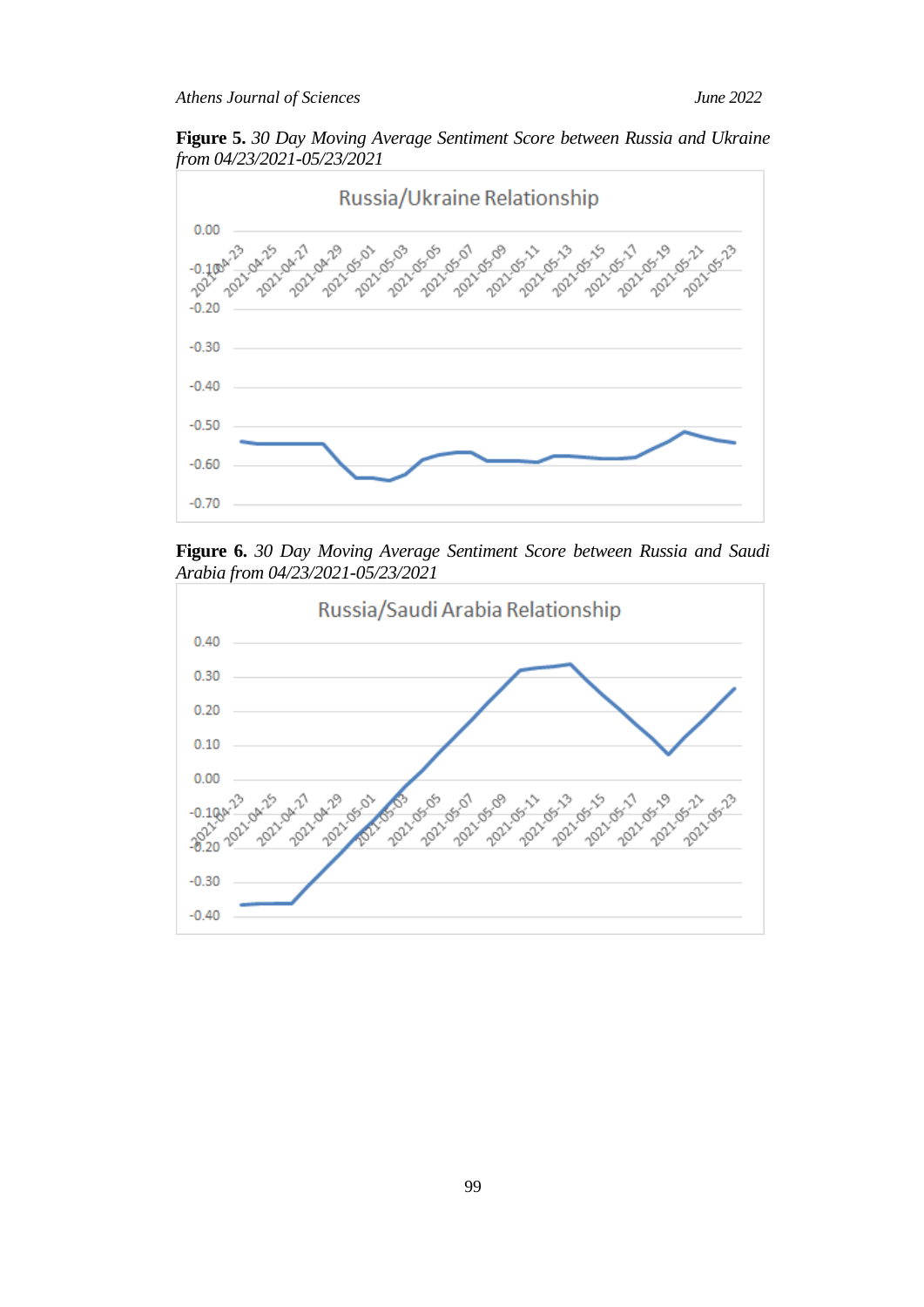**Figure 5.** *30 Day Moving Average Sentiment Score between Russia and Ukraine from 04/23/2021-05/23/2021*



**Figure 6.** *30 Day Moving Average Sentiment Score between Russia and Saudi Arabia from 04/23/2021-05/23/2021*

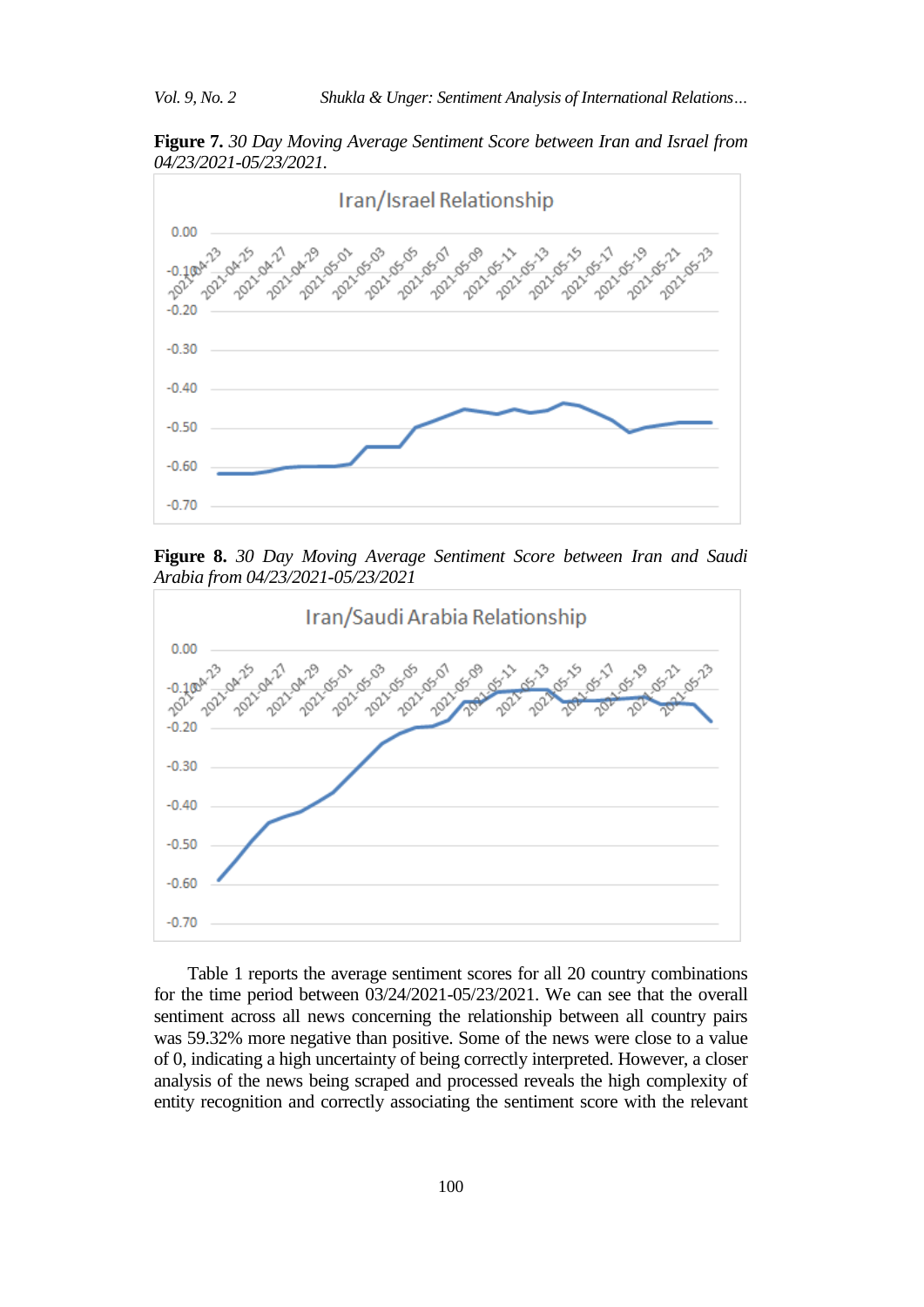**Figure 7.** *30 Day Moving Average Sentiment Score between Iran and Israel from 04/23/2021-05/23/2021.*



**Figure 8.** *30 Day Moving Average Sentiment Score between Iran and Saudi Arabia from 04/23/2021-05/23/2021*



Table 1 reports the average sentiment scores for all 20 country combinations for the time period between 03/24/2021-05/23/2021. We can see that the overall sentiment across all news concerning the relationship between all country pairs was 59.32% more negative than positive. Some of the news were close to a value of 0, indicating a high uncertainty of being correctly interpreted. However, a closer analysis of the news being scraped and processed reveals the high complexity of entity recognition and correctly associating the sentiment score with the relevant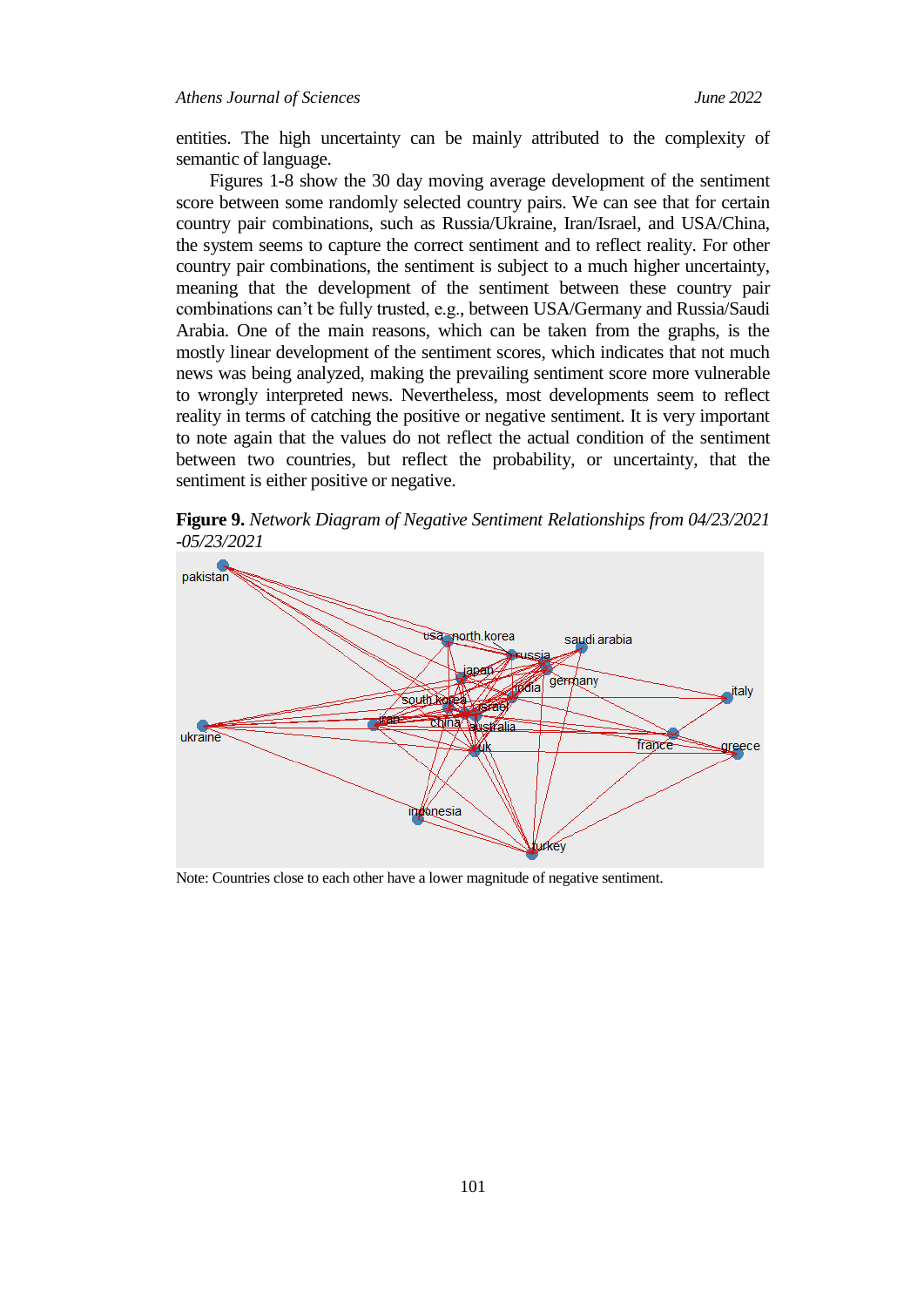entities. The high uncertainty can be mainly attributed to the complexity of semantic of language.

Figures 1-8 show the 30 day moving average development of the sentiment score between some randomly selected country pairs. We can see that for certain country pair combinations, such as Russia/Ukraine, Iran/Israel, and USA/China, the system seems to capture the correct sentiment and to reflect reality. For other country pair combinations, the sentiment is subject to a much higher uncertainty, meaning that the development of the sentiment between these country pair combinations can't be fully trusted, e.g., between USA/Germany and Russia/Saudi Arabia. One of the main reasons, which can be taken from the graphs, is the mostly linear development of the sentiment scores, which indicates that not much news was being analyzed, making the prevailing sentiment score more vulnerable to wrongly interpreted news. Nevertheless, most developments seem to reflect reality in terms of catching the positive or negative sentiment. It is very important to note again that the values do not reflect the actual condition of the sentiment between two countries, but reflect the probability, or uncertainty, that the sentiment is either positive or negative.

**Figure 9.** *Network Diagram of Negative Sentiment Relationships from 04/23/2021 -05/23/2021*



Note: Countries close to each other have a lower magnitude of negative sentiment.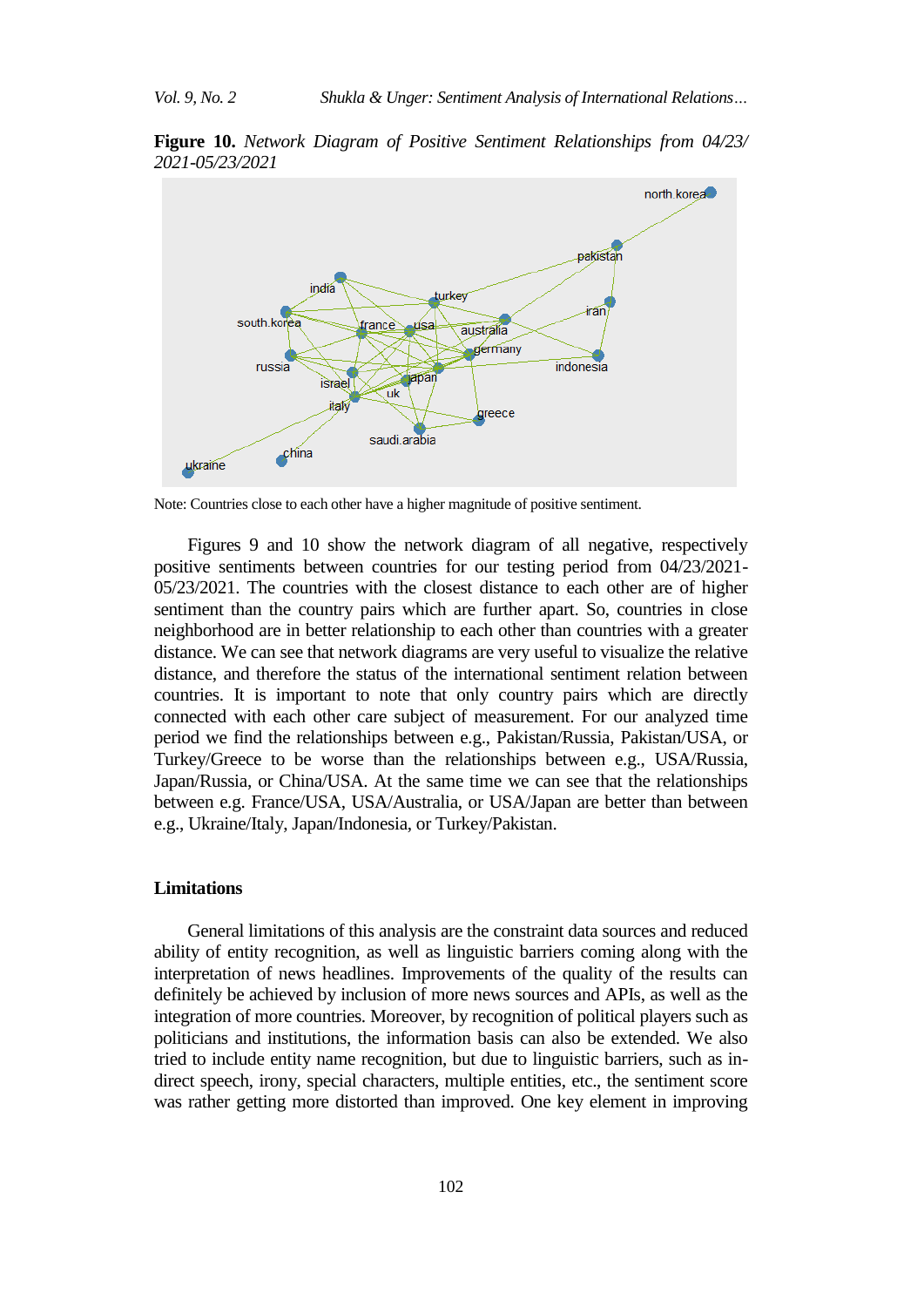**Figure 10.** *Network Diagram of Positive Sentiment Relationships from 04/23/ 2021-05/23/2021*



Note: Countries close to each other have a higher magnitude of positive sentiment.

Figures 9 and 10 show the network diagram of all negative, respectively positive sentiments between countries for our testing period from 04/23/2021- 05/23/2021. The countries with the closest distance to each other are of higher sentiment than the country pairs which are further apart. So, countries in close neighborhood are in better relationship to each other than countries with a greater distance. We can see that network diagrams are very useful to visualize the relative distance, and therefore the status of the international sentiment relation between countries. It is important to note that only country pairs which are directly connected with each other care subject of measurement. For our analyzed time period we find the relationships between e.g., Pakistan/Russia, Pakistan/USA, or Turkey/Greece to be worse than the relationships between e.g., USA/Russia, Japan/Russia, or China/USA. At the same time we can see that the relationships between e.g. France/USA, USA/Australia, or USA/Japan are better than between e.g., Ukraine/Italy, Japan/Indonesia, or Turkey/Pakistan.

### **Limitations**

General limitations of this analysis are the constraint data sources and reduced ability of entity recognition, as well as linguistic barriers coming along with the interpretation of news headlines. Improvements of the quality of the results can definitely be achieved by inclusion of more news sources and APIs, as well as the integration of more countries. Moreover, by recognition of political players such as politicians and institutions, the information basis can also be extended. We also tried to include entity name recognition, but due to linguistic barriers, such as indirect speech, irony, special characters, multiple entities, etc., the sentiment score was rather getting more distorted than improved. One key element in improving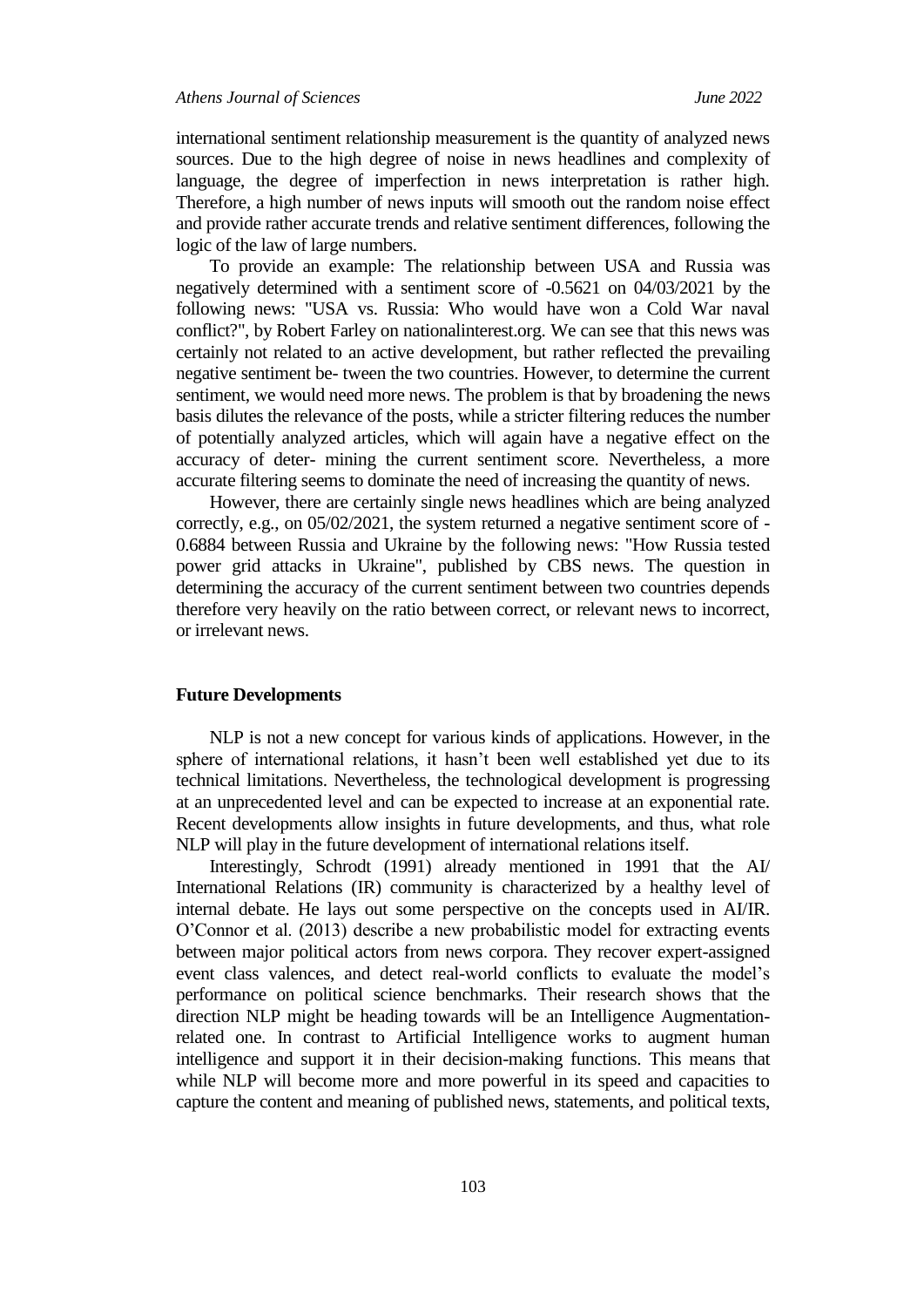international sentiment relationship measurement is the quantity of analyzed news sources. Due to the high degree of noise in news headlines and complexity of language, the degree of imperfection in news interpretation is rather high. Therefore, a high number of news inputs will smooth out the random noise effect and provide rather accurate trends and relative sentiment differences, following the logic of the law of large numbers.

To provide an example: The relationship between USA and Russia was negatively determined with a sentiment score of -0.5621 on 04/03/2021 by the following news: "USA vs. Russia: Who would have won a Cold War naval conflict?", by Robert Farley on nationalinterest.org. We can see that this news was certainly not related to an active development, but rather reflected the prevailing negative sentiment be- tween the two countries. However, to determine the current sentiment, we would need more news. The problem is that by broadening the news basis dilutes the relevance of the posts, while a stricter filtering reduces the number of potentially analyzed articles, which will again have a negative effect on the accuracy of deter- mining the current sentiment score. Nevertheless, a more accurate filtering seems to dominate the need of increasing the quantity of news.

However, there are certainly single news headlines which are being analyzed correctly, e.g., on 05/02/2021, the system returned a negative sentiment score of - 0.6884 between Russia and Ukraine by the following news: "How Russia tested power grid attacks in Ukraine", published by CBS news. The question in determining the accuracy of the current sentiment between two countries depends therefore very heavily on the ratio between correct, or relevant news to incorrect, or irrelevant news.

### **Future Developments**

NLP is not a new concept for various kinds of applications. However, in the sphere of international relations, it hasn't been well established yet due to its technical limitations. Nevertheless, the technological development is progressing at an unprecedented level and can be expected to increase at an exponential rate. Recent developments allow insights in future developments, and thus, what role NLP will play in the future development of international relations itself.

Interestingly, Schrodt (1991) already mentioned in 1991 that the AI/ International Relations (IR) community is characterized by a healthy level of internal debate. He lays out some perspective on the concepts used in AI/IR. O'Connor et al. (2013) describe a new probabilistic model for extracting events between major political actors from news corpora. They recover expert-assigned event class valences, and detect real-world conflicts to evaluate the model's performance on political science benchmarks. Their research shows that the direction NLP might be heading towards will be an Intelligence Augmentationrelated one. In contrast to Artificial Intelligence works to augment human intelligence and support it in their decision-making functions. This means that while NLP will become more and more powerful in its speed and capacities to capture the content and meaning of published news, statements, and political texts,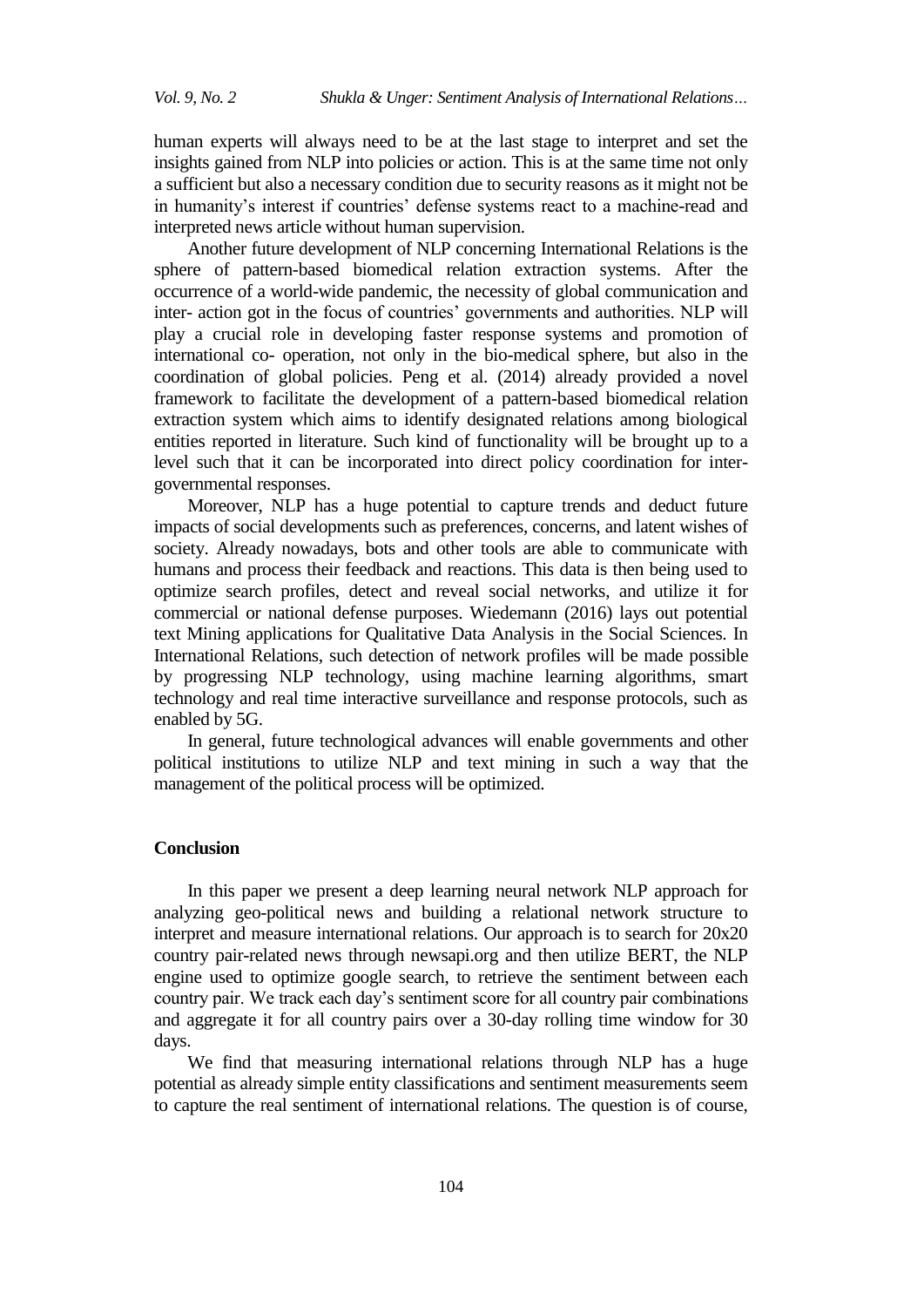human experts will always need to be at the last stage to interpret and set the insights gained from NLP into policies or action. This is at the same time not only a sufficient but also a necessary condition due to security reasons as it might not be in humanity's interest if countries' defense systems react to a machine-read and interpreted news article without human supervision.

Another future development of NLP concerning International Relations is the sphere of pattern-based biomedical relation extraction systems. After the occurrence of a world-wide pandemic, the necessity of global communication and inter- action got in the focus of countries' governments and authorities. NLP will play a crucial role in developing faster response systems and promotion of international co- operation, not only in the bio-medical sphere, but also in the coordination of global policies. Peng et al. (2014) already provided a novel framework to facilitate the development of a pattern-based biomedical relation extraction system which aims to identify designated relations among biological entities reported in literature. Such kind of functionality will be brought up to a level such that it can be incorporated into direct policy coordination for intergovernmental responses.

Moreover, NLP has a huge potential to capture trends and deduct future impacts of social developments such as preferences, concerns, and latent wishes of society. Already nowadays, bots and other tools are able to communicate with humans and process their feedback and reactions. This data is then being used to optimize search profiles, detect and reveal social networks, and utilize it for commercial or national defense purposes. Wiedemann (2016) lays out potential text Mining applications for Qualitative Data Analysis in the Social Sciences. In International Relations, such detection of network profiles will be made possible by progressing NLP technology, using machine learning algorithms, smart technology and real time interactive surveillance and response protocols, such as enabled by 5G.

In general, future technological advances will enable governments and other political institutions to utilize NLP and text mining in such a way that the management of the political process will be optimized.

# **Conclusion**

In this paper we present a deep learning neural network NLP approach for analyzing geo-political news and building a relational network structure to interpret and measure international relations. Our approach is to search for 20x20 country pair-related news through newsapi.org and then utilize BERT, the NLP engine used to optimize google search, to retrieve the sentiment between each country pair. We track each day's sentiment score for all country pair combinations and aggregate it for all country pairs over a 30-day rolling time window for 30 days.

We find that measuring international relations through NLP has a huge potential as already simple entity classifications and sentiment measurements seem to capture the real sentiment of international relations. The question is of course,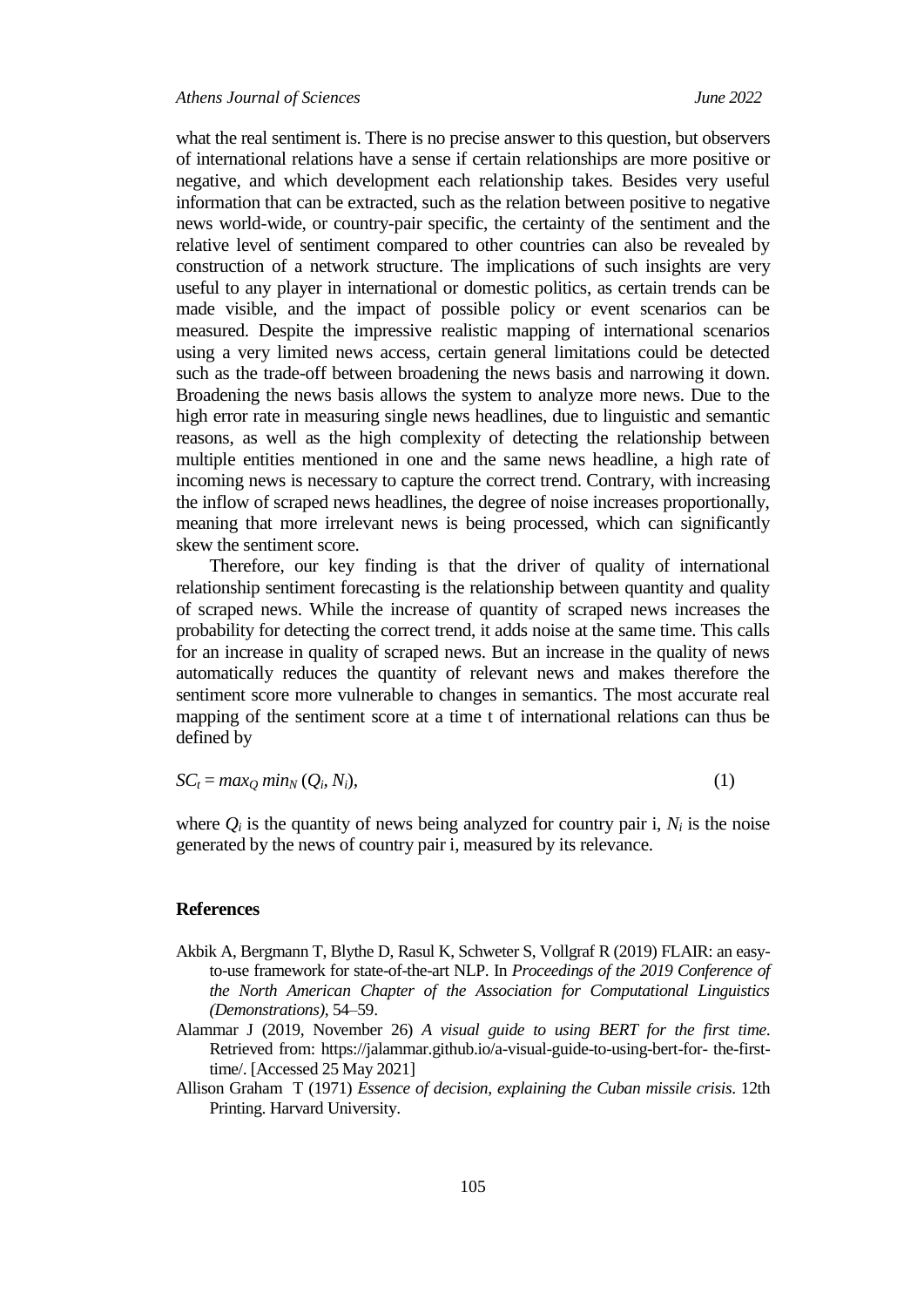what the real sentiment is. There is no precise answer to this question, but observers of international relations have a sense if certain relationships are more positive or negative, and which development each relationship takes. Besides very useful information that can be extracted, such as the relation between positive to negative news world-wide, or country-pair specific, the certainty of the sentiment and the relative level of sentiment compared to other countries can also be revealed by construction of a network structure. The implications of such insights are very useful to any player in international or domestic politics, as certain trends can be made visible, and the impact of possible policy or event scenarios can be measured. Despite the impressive realistic mapping of international scenarios using a very limited news access, certain general limitations could be detected such as the trade-off between broadening the news basis and narrowing it down. Broadening the news basis allows the system to analyze more news. Due to the high error rate in measuring single news headlines, due to linguistic and semantic reasons, as well as the high complexity of detecting the relationship between multiple entities mentioned in one and the same news headline, a high rate of incoming news is necessary to capture the correct trend. Contrary, with increasing the inflow of scraped news headlines, the degree of noise increases proportionally, meaning that more irrelevant news is being processed, which can significantly skew the sentiment score.

Therefore, our key finding is that the driver of quality of international relationship sentiment forecasting is the relationship between quantity and quality of scraped news. While the increase of quantity of scraped news increases the probability for detecting the correct trend, it adds noise at the same time. This calls for an increase in quality of scraped news. But an increase in the quality of news automatically reduces the quantity of relevant news and makes therefore the sentiment score more vulnerable to changes in semantics. The most accurate real mapping of the sentiment score at a time t of international relations can thus be defined by

$$
SC_t = max_Q min_N (Q_i, N_i),
$$
\n(1)

where  $Q_i$  is the quantity of news being analyzed for country pair i,  $N_i$  is the noise generated by the news of country pair i, measured by its relevance.

### **References**

- Akbik A, Bergmann T, Blythe D, Rasul K, Schweter S, Vollgraf R (2019) FLAIR: an easyto-use framework for state-of-the-art NLP. In *Proceedings of the 2019 Conference of the North American Chapter of the Association for Computational Linguistics (Demonstrations)*, 54*–*59.
- Alammar J (2019, November 26) *A visual guide to using BERT for the first time*. Retrieved from: [https://jalammar.github.io/a-visual-guide-to-using-bert-for-](https://jalammar.github.io/a-visual-guide-to-using-bert-for-%20the-first-time/) the-first[time/.](https://jalammar.github.io/a-visual-guide-to-using-bert-for-%20the-first-time/) [Accessed 25 May 2021]
- Allison Graham T (1971) *Essence of decision, explaining the Cuban missile crisis*. 12th Printing. Harvard University.